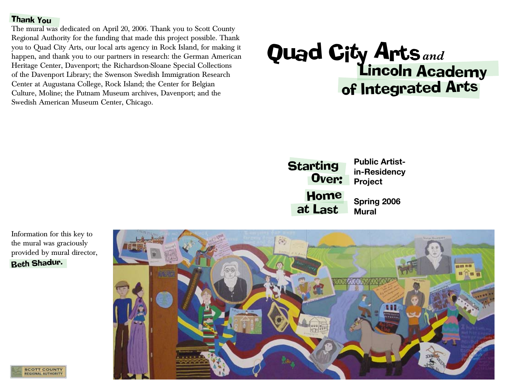#### Thank You

The mural was dedicated on April 20, 2006. Thank you to Scott County Regional Authority for the funding that made this project possible. Thank you to Quad City Arts, our local arts agency in Rock Island, for making it happen, and thank you to our partners in research: the German American Heritage Center, Davenport; the Richardson-Sloane Special Collections of the Davenport Library; the Swenson Swedish Immigration Research Center at Augustana College, Rock Island; the Center for Belgian Culture, Moline; the Putnam Museum archives, Davenport; and the Swedish American Museum Center, Chicago.

# Qua<sup>d</sup> Ci<sup>t</sup><sup>y</sup> <sup>A</sup>rt<sup>s</sup> Lincoln Academy of Integrated Arts *and*

**Public Artistin-Residency Project Spring 2006 Mural Starting** Over: Home at Last

Information for this key to the mural was graciously provided by mural director, Beth Shadur.



**SCOTT COUNTY REGIONAL AUTHORITY**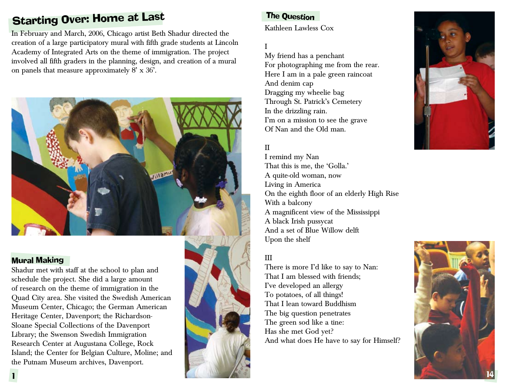# **Starting Over: Home at Last**

In February and March, 2006, Chicago artist Beth Shadur directed the creation of a large participatory mural with fifth grade students at Lincoln Academy of Integrated Arts on the theme of immigration. The project involved all fifth graders in the planning, design, and creation of a mural on panels that measure approximately 8' x 36'.



# Mural Making

Shadur met with staff at the school to plan and schedule the project. She did a large amount of research on the theme of immigration in the Quad City area. She visited the Swedish American Museum Center, Chicago; the German American Heritage Center, Davenport; the Richardson-Sloane Special Collections of the Davenport Library; the Swenson Swedish Immigration Research Center at Augustana College, Rock Island; the Center for Belgian Culture, Moline; and the Putnam Museum archives, Davenport.

# The Question

Kathleen Lawless Cox

# I

My friend has a penchant For photographing me from the rear. Here I am in a pale green raincoat And denim cap Dragging my wheelie bag Through St. Patrick's Cemetery In the drizzling rain. I'm on a mission to see the grave Of Nan and the Old man.

# II

I remind my Nan That this is me, the 'Golla.' A quite-old woman, now Living in America On the eighth floor of an elderly High Rise With a balcony A magnificent view of the Mississippi A black Irish pussycat And a set of Blue Willow delft Upon the shelf

# III

There is more I'd like to say to Nan: That I am blessed with friends; I've developed an allergy To potatoes, of all things! That I lean toward Buddhism The big question penetrates The green sod like a tine: Has she met God yet? And what does He have to say for Himself?



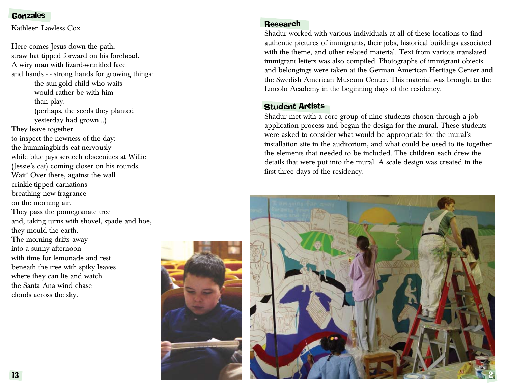#### **Gonzales**

Kathleen Lawless Cox

Here comes Jesus down the path, straw hat tipped forward on his forehead. A wiry man with lizard-wrinkled face and hands - - strong hands for growing things: the sun-gold child who waits would rather be with him than play. (perhaps, the seeds they planted yesterday had grown...) They leave together to inspect the newness of the day: the hummingbirds eat nervously while blue jays screech obscenities at Willie (Jessie's cat) coming closer on his rounds. Wait! Over there, against the wall crinkle-tipped carnations breathing new fragrance on the morning air. They pass the pomegranate tree and, taking turns with shovel, spade and hoe, they mould the earth. The morning drifts away into a sunny afternoon with time for lemonade and rest beneath the tree with spiky leaves where they can lie and watch the Santa Ana wind chase clouds across the sky.

#### Research

Shadur worked with various individuals at all of these locations to find authentic pictures of immigrants, their jobs, historical buildings associated with the theme, and other related material. Text from various translated immigrant letters was also compiled. Photographs of immigrant objects and belongings were taken at the German American Heritage Center and the Swedish American Museum Center. This material was brought to the Lincoln Academy in the beginning days of the residency.

#### Student Artists

Shadur met with a core group of nine students chosen through a job application process and began the design for the mural. These students were asked to consider what would be appropriate for the mural's installation site in the auditorium, and what could be used to tie together the elements that needed to be included. The children each drew the details that were put into the mural. A scale design was created in the first three days of the residency.

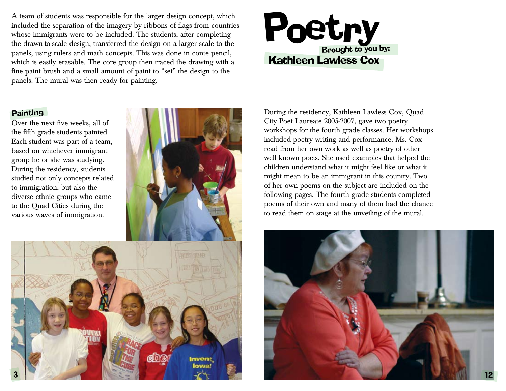A team of students was responsible for the larger design concept, which included the separation of the imagery by ribbons of flags from countries whose immigrants were to be included. The students, after completing the drawn-to-scale design, transferred the design on a larger scale to the panels, using rulers and math concepts. This was done in conte pencil, which is easily erasable. The core group then traced the drawing with a fine paint brush and a small amount of paint to "set" the design to the panels. The mural was then ready for painting.

# Poet.ry <sup>e</sup>try Kathleen Lawless Cox

# **Painting**

Over the next five weeks, all of the fifth grade students painted. Each student was part of a team, based on whichever immigrant group he or she was studying. During the residency, students studied not only concepts related to immigration, but also the diverse ethnic groups who came to the Quad Cities during the various waves of immigration.



During the residency, Kathleen Lawless Cox, Quad City Poet Laureate 2005-2007, gave two poetry workshops for the fourth grade classes. Her workshops included poetry writing and performance. Ms. Cox read from her own work as well as poetry of other well known poets. She used examples that helped the children understand what it might feel like or what it might mean to be an immigrant in this country. Two of her own poems on the subject are included on the following pages. The fourth grade students completed poems of their own and many of them had the chance to read them on stage at the unveiling of the mural.

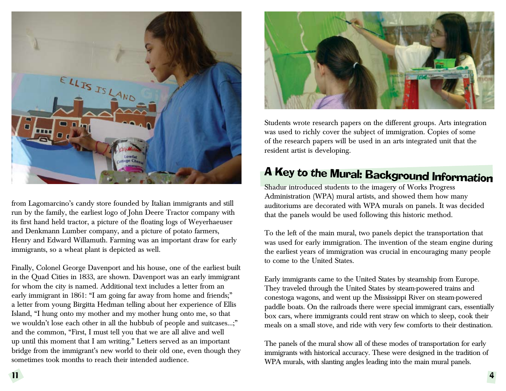

from Lagomarcino's candy store founded by Italian immigrants and still run by the family, the earliest logo of John Deere Tractor company with its first hand held tractor, a picture of the floating logs of Weyerhaeuser and Denkmann Lumber company, and a picture of potato farmers, Henry and Edward Willamuth. Farming was an important draw for early immigrants, so a wheat plant is depicted as well.

Finally, Colonel George Davenport and his house, one of the earliest built in the Quad Cities in 1833, are shown. Davenport was an early immigrant for whom the city is named. Additional text includes a letter from an early immigrant in 1861: "I am going far away from home and friends;" a letter from young Birgitta Hedman telling about her experience of Ellis Island, "I hung onto my mother and my mother hung onto me, so that we wouldn't lose each other in all the hubbub of people and suitcases…;" and the common, "First, I must tell you that we are all alive and well up until this moment that I am writing." Letters served as an important bridge from the immigrant's new world to their old one, even though they sometimes took months to reach their intended audience.



Students wrote research papers on the different groups. Arts integration was used to richly cover the subject of immigration. Copies of some of the research papers will be used in an arts integrated unit that the resident artist is developing.

# A Key to the Mural: Background Information

Shadur introduced students to the imagery of Works Progress Administration (WPA) mural artists, and showed them how many auditoriums are decorated with WPA murals on panels. It was decided that the panels would be used following this historic method.

To the left of the main mural, two panels depict the transportation that was used for early immigration. The invention of the steam engine during the earliest years of immigration was crucial in encouraging many people to come to the United States.

Early immigrants came to the United States by steamship from Europe. They traveled through the United States by steam-powered trains and conestoga wagons, and went up the Mississippi River on steam-powered paddle boats. On the railroads there were special immigrant cars, essentially box cars, where immigrants could rent straw on which to sleep, cook their meals on a small stove, and ride with very few comforts to their destination.

The panels of the mural show all of these modes of transportation for early immigrants with historical accuracy. These were designed in the tradition of WPA murals, with slanting angles leading into the main mural panels.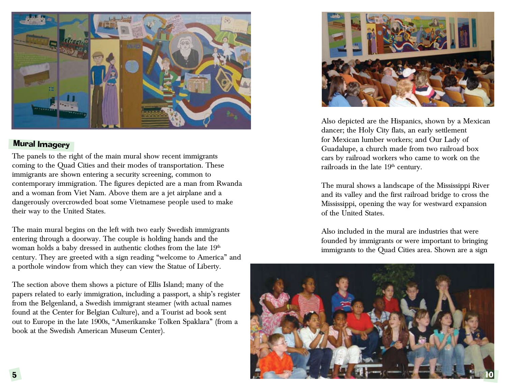

# Mural Imagery

The panels to the right of the main mural show recent immigrants coming to the Quad Cities and their modes of transportation. These immigrants are shown entering a security screening, common to contemporary immigration. The figures depicted are a man from Rwanda and a woman from Viet Nam. Above them are a jet airplane and a dangerously overcrowded boat some Vietnamese people used to make their way to the United States.

The main mural begins on the left with two early Swedish immigrants entering through a doorway. The couple is holding hands and the woman holds a baby dressed in authentic clothes from the late 19<sup>th</sup> century. They are greeted with a sign reading "welcome to America" and a porthole window from which they can view the Statue of Liberty.

The section above them shows a picture of Ellis Island; many of the papers related to early immigration, including a passport, a ship's register from the Belgenland, a Swedish immigrant steamer (with actual names found at the Center for Belgian Culture), and a Tourist ad book sent out to Europe in the late 1900s, "Amerikanske Tolken Spaklara" (from a book at the Swedish American Museum Center).



Also depicted are the Hispanics, shown by a Mexican dancer; the Holy City flats, an early settlement for Mexican lumber workers; and Our Lady of Guadalupe, a church made from two railroad box cars by railroad workers who came to work on the railroads in the late  $19<sup>th</sup>$  century.

The mural shows a landscape of the Mississippi River and its valley and the first railroad bridge to cross the Mississippi, opening the way for westward expansion of the United States.

Also included in the mural are industries that were founded by immigrants or were important to bringing immigrants to the Quad Cities area. Shown are a sign

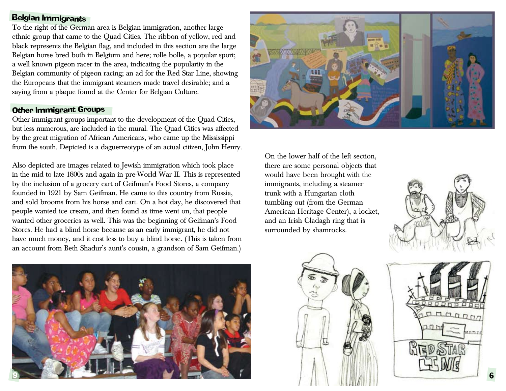# Belgian Immigrants

To the right of the German area is Belgian immigration, another large ethnic group that came to the Quad Cities. The ribbon of yellow, red and black represents the Belgian flag, and included in this section are the large Belgian horse bred both in Belgium and here; rolle bolle, a popular sport; a well known pigeon racer in the area, indicating the popularity in the Belgian community of pigeon racing; an ad for the Red Star Line, showing the Europeans that the immigrant steamers made travel desirable; and a saying from a plaque found at the Center for Belgian Culture.

#### Other Immigrant Groups

Other immigrant groups important to the development of the Quad Cities, but less numerous, are included in the mural. The Quad Cities was affected by the great migration of African Americans, who came up the Mississippi from the south. Depicted is a daguerreotype of an actual citizen, John Henry.

Also depicted are images related to Jewish immigration which took place in the mid to late 1800s and again in pre-World War II. This is represented by the inclusion of a grocery cart of Geifman's Food Stores, a company founded in 1921 by Sam Geifman. He came to this country from Russia, and sold brooms from his horse and cart. On a hot day, he discovered that people wanted ice cream, and then found as time went on, that people wanted other groceries as well. This was the beginning of Geifman's Food Stores. He had a blind horse because as an early immigrant, he did not have much money, and it cost less to buy a blind horse. (This is taken from an account from Beth Shadur's aunt's cousin, a grandson of Sam Geifman.)



On the lower half of the left section, there are some personal objects that would have been brought with the immigrants, including a steamer trunk with a Hungarian cloth tumbling out (from the German American Heritage Center), a locket, and an Irish Cladagh ring that is surrounded by shamrocks.